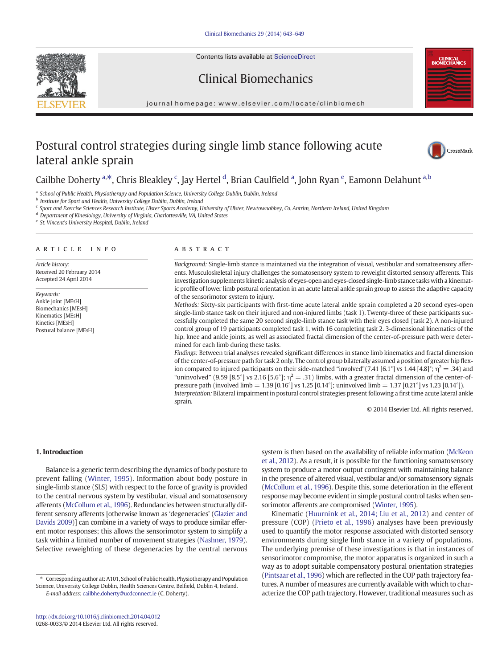Contents lists available at ScienceDirect





journal homepage: www.elsevier.com/locate/clinbiomech

# Postural control strategies during single limb stance following acute lateral ankle sprain



**CLINICAL<br>BIOMECHANICS** 

# Cailbhe Doherty <sup>a,\*</sup>, Chris Bleakley <sup>c</sup>, Jay Hertel <sup>d</sup>, Brian Caulfield <sup>a</sup>, John Ryan <sup>e</sup>, Eamonn Delahunt <sup>a,b</sup>

<sup>a</sup> School of Public Health, Physiotherapy and Population Science, University College Dublin, Dublin, Ireland

**b** Institute for Sport and Health, University College Dublin, Dublin, Ireland

<sup>c</sup> Sport and Exercise Sciences Research Institute, Ulster Sports Academy, University of Ulster, Newtownabbey, Co. Antrim, Northern Ireland, United Kingdom

<sup>d</sup> Department of Kinesiology, University of Virginia, Charlottesville, VA, United States

<sup>e</sup> St. Vincent's University Hospital, Dublin, Ireland

#### article info abstract

Article history: Received 20 February 2014 Accepted 24 April 2014

Keywords: Ankle joint [MEsH] Biomechanics [MEsH] Kinematics [MEsH] Kinetics [MEsH] Postural balance [MEsH]

sprain.

Background: Single-limb stance is maintained via the integration of visual, vestibular and somatosensory afferents. Musculoskeletal injury challenges the somatosensory system to reweight distorted sensory afferents. This investigation supplements kinetic analysis of eyes-open and eyes-closed single-limb stance tasks with a kinematic profile of lower limb postural orientation in an acute lateral ankle sprain group to assess the adaptive capacity of the sensorimotor system to injury.

Methods: Sixty-six participants with first-time acute lateral ankle sprain completed a 20 second eyes-open single-limb stance task on their injured and non-injured limbs (task 1). Twenty-three of these participants successfully completed the same 20 second single-limb stance task with their eyes closed (task 2). A non-injured control group of 19 participants completed task 1, with 16 completing task 2. 3-dimensional kinematics of the hip, knee and ankle joints, as well as associated fractal dimension of the center-of-pressure path were determined for each limb during these tasks.

Findings: Between trial analyses revealed significant differences in stance limb kinematics and fractal dimension of the center-of-pressure path for task 2 only. The control group bilaterally assumed a position of greater hip flexion compared to injured participants on their side-matched "involved"(7.41 [6.1°] vs 1.44 [4.8]°;  $\eta^2 = .34$ ) and "uninvolved" (9.59 [8.5°] vs 2.16 [5.6°];  $\eta^2 = .31$ ) limbs, with a greater fractal dimension of the center-ofpressure path (involved limb = 1.39 [0.16°] vs 1.25 [0.14°]; uninvolved limb = 1.37 [0.21°] vs 1.23 [0.14°]). Interpretation: Bilateral impairment in postural control strategies present following a first time acute lateral ankle

© 2014 Elsevier Ltd. All rights reserved.

#### 1. Introduction

Balance is a generic term describing the dynamics of body posture to prevent falling [\(Winter, 1995\)](#page-6-0). Information about body posture in single-limb stance (SLS) with respect to the force of gravity is provided to the central nervous system by vestibular, visual and somatosensory afferents ([McCollum et al., 1996\)](#page-6-0). Redundancies between structurally different sensory afferents [otherwise known as 'degeneracies' [\(Glazier and](#page-6-0) [Davids 2009](#page-6-0))] can combine in a variety of ways to produce similar efferent motor responses; this allows the sensorimotor system to simplify a task within a limited number of movement strategies [\(Nashner, 1979](#page-6-0)). Selective reweighting of these degeneracies by the central nervous system is then based on the availability of reliable information ([McKeon](#page-6-0) [et al., 2012\)](#page-6-0). As a result, it is possible for the functioning somatosensory system to produce a motor output contingent with maintaining balance in the presence of altered visual, vestibular and/or somatosensory signals [\(McCollum et al., 1996](#page-6-0)). Despite this, some deterioration in the efferent response may become evident in simple postural control tasks when sensorimotor afferents are compromised [\(Winter, 1995\)](#page-6-0).

Kinematic ([Huurnink et al., 2014; Liu et al., 2012\)](#page-6-0) and center of pressure (COP) ([Prieto et al., 1996\)](#page-6-0) analyses have been previously used to quantify the motor response associated with distorted sensory environments during single limb stance in a variety of populations. The underlying premise of these investigations is that in instances of sensorimotor compromise, the motor apparatus is organized in such a way as to adopt suitable compensatory postural orientation strategies [\(Pintsaar et al., 1996\)](#page-6-0) which are reflected in the COP path trajectory features. A number of measures are currently available with which to characterize the COP path trajectory. However, traditional measures such as

<sup>⁎</sup> Corresponding author at: A101, School of Public Health, Physiotherapy and Population Science, University College Dublin, Health Sciences Centre, Belfield, Dublin 4, Ireland. E-mail address: [cailbhe.doherty@ucdconnect.ie](mailto:cailbhe.doherty@ucdconnect.ie) (C. Doherty).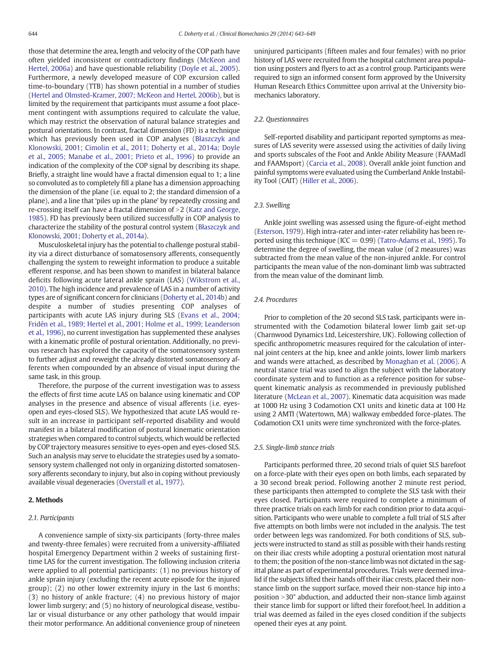those that determine the area, length and velocity of the COP path have often yielded inconsistent or contradictory findings [\(McKeon and](#page-6-0) [Hertel, 2006a](#page-6-0)) and have questionable reliability ([Doyle et al., 2005](#page-6-0)). Furthermore, a newly developed measure of COP excursion called time-to-boundary (TTB) has shown potential in a number of studies [\(Hertel and Olmsted-Kramer, 2007; McKeon and Hertel, 2006b\)](#page-6-0), but is limited by the requirement that participants must assume a foot placement contingent with assumptions required to calculate the value, which may restrict the observation of natural balance strategies and postural orientations. In contrast, fractal dimension (FD) is a technique which has previously been used in COP analyses (Bł[aszczyk and](#page-6-0) [Klonowski, 2001; Cimolin et al., 2011; Doherty et al., 2014a; Doyle](#page-6-0) [et al., 2005; Manabe et al., 2001; Prieto et al., 1996\)](#page-6-0) to provide an indication of the complexity of the COP signal by describing its shape. Briefly, a straight line would have a fractal dimension equal to 1; a line so convoluted as to completely fill a plane has a dimension approaching the dimension of the plane (i.e. equal to 2; the standard dimension of a plane), and a line that 'piles up in the plane' by repeatedly crossing and re-crossing itself can have a fractal dimension of  $>$ 2 [\(Katz and George,](#page-6-0) [1985\)](#page-6-0). FD has previously been utilized successfully in COP analysis to characterize the stability of the postural control system (Bł[aszczyk and](#page-6-0) [Klonowski, 2001; Doherty et al., 2014a\)](#page-6-0).

Musculoskeletal injury has the potential to challenge postural stability via a direct disturbance of somatosensory afferents, consequently challenging the system to reweight information to produce a suitable efferent response, and has been shown to manifest in bilateral balance deficits following acute lateral ankle sprain (LAS) [\(Wikstrom et al.,](#page-6-0) [2010\)](#page-6-0). The high incidence and prevalence of LAS in a number of activity types are of significant concern for clinicians ([Doherty et al., 2014b](#page-6-0)) and despite a number of studies presenting COP analyses of participants with acute LAS injury during SLS [\(Evans et al., 2004;](#page-6-0) [Fridén et al., 1989; Hertel et al., 2001; Holme et al., 1999; Leanderson](#page-6-0) [et al., 1996](#page-6-0)), no current investigation has supplemented these analyses with a kinematic profile of postural orientation. Additionally, no previous research has explored the capacity of the somatosensory system to further adjust and reweight the already distorted somatosensory afferents when compounded by an absence of visual input during the same task, in this group.

Therefore, the purpose of the current investigation was to assess the effects of first time acute LAS on balance using kinematic and COP analyses in the presence and absence of visual afferents (i.e. eyesopen and eyes-closed SLS). We hypothesized that acute LAS would result in an increase in participant self-reported disability and would manifest in a bilateral modification of postural kinematic orientation strategies when compared to control subjects, which would be reflected by COP trajectory measures sensitive to eyes-open and eyes-closed SLS. Such an analysis may serve to elucidate the strategies used by a somatosensory system challenged not only in organizing distorted somatosensory afferents secondary to injury, but also in coping without previously available visual degeneracies [\(Overstall et al., 1977\)](#page-6-0).

#### 2. Methods

#### 2.1. Participants

A convenience sample of sixty-six participants (forty-three males and twenty-three females) were recruited from a university-affiliated hospital Emergency Department within 2 weeks of sustaining firsttime LAS for the current investigation. The following inclusion criteria were applied to all potential participants: (1) no previous history of ankle sprain injury (excluding the recent acute episode for the injured group); (2) no other lower extremity injury in the last 6 months; (3) no history of ankle fracture; (4) no previous history of major lower limb surgery; and (5) no history of neurological disease, vestibular or visual disturbance or any other pathology that would impair their motor performance. An additional convenience group of nineteen

uninjured participants (fifteen males and four females) with no prior history of LAS were recruited from the hospital catchment area population using posters and flyers to act as a control group. Participants were required to sign an informed consent form approved by the University Human Research Ethics Committee upon arrival at the University biomechanics laboratory.

# 2.2. Questionnaires

Self-reported disability and participant reported symptoms as measures of LAS severity were assessed using the activities of daily living and sports subscales of the Foot and Ankle Ability Measure (FAAMadl and FAAMsport) [\(Carcia et al., 2008\)](#page-6-0). Overall ankle joint function and painful symptoms were evaluated using the Cumberland Ankle Instability Tool (CAIT) [\(Hiller et al., 2006\)](#page-6-0).

# 2.3. Swelling

Ankle joint swelling was assessed using the figure-of-eight method [\(Esterson, 1979\)](#page-6-0). High intra-rater and inter-rater reliability has been reported using this technique (ICC  $= 0.99$ ) [\(Tatro-Adams et al., 1995](#page-6-0)). To determine the degree of swelling, the mean value (of 2 measures) was subtracted from the mean value of the non-injured ankle. For control participants the mean value of the non-dominant limb was subtracted from the mean value of the dominant limb.

#### 2.4. Procedures

Prior to completion of the 20 second SLS task, participants were instrumented with the Codamotion bilateral lower limb gait set-up (Charnwood Dynamics Ltd, Leicestershire, UK). Following collection of specific anthropometric measures required for the calculation of internal joint centers at the hip, knee and ankle joints, lower limb markers and wands were attached, as described by [Monaghan et al. \(2006\)](#page-6-0). A neutral stance trial was used to align the subject with the laboratory coordinate system and to function as a reference position for subsequent kinematic analysis as recommended in previously published literature [\(McLean et al., 2007\)](#page-6-0). Kinematic data acquisition was made at 1000 Hz using 3 Codamotion CX1 units and kinetic data at 100 Hz using 2 AMTI (Watertown, MA) walkway embedded force-plates. The Codamotion CX1 units were time synchronized with the force-plates.

# 2.5. Single-limb stance trials

Participants performed three, 20 second trials of quiet SLS barefoot on a force-plate with their eyes open on both limbs, each separated by a 30 second break period. Following another 2 minute rest period, these participants then attempted to complete the SLS task with their eyes closed. Participants were required to complete a minimum of three practice trials on each limb for each condition prior to data acquisition. Participants who were unable to complete a full trial of SLS after five attempts on both limbs were not included in the analysis. The test order between legs was randomized. For both conditions of SLS, subjects were instructed to stand as still as possible with their hands resting on their iliac crests while adopting a postural orientation most natural to them; the position of the non-stance limb was not dictated in the sagittal plane as part of experimental procedures. Trials were deemed invalid if the subjects lifted their hands off their iliac crests, placed their nonstance limb on the support surface, moved their non-stance hip into a position N30° abduction, and adducted their non-stance limb against their stance limb for support or lifted their forefoot/heel. In addition a trial was deemed as failed in the eyes closed condition if the subjects opened their eyes at any point.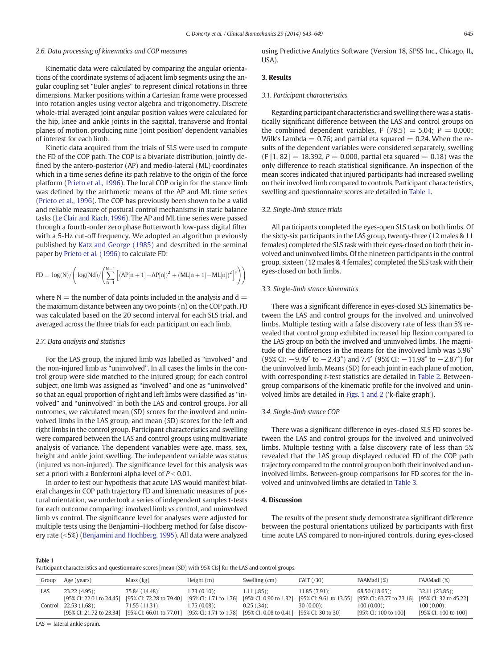# 2.6. Data processing of kinematics and COP measures

Kinematic data were calculated by comparing the angular orientations of the coordinate systems of adjacent limb segments using the angular coupling set "Euler angles" to represent clinical rotations in three dimensions. Marker positions within a Cartesian frame were processed into rotation angles using vector algebra and trigonometry. Discrete whole-trial averaged joint angular position values were calculated for the hip, knee and ankle joints in the sagittal, transverse and frontal planes of motion, producing nine 'joint position' dependent variables of interest for each limb.

Kinetic data acquired from the trials of SLS were used to compute the FD of the COP path. The COP is a bivariate distribution, jointly defined by the antero-posterior (AP) and medio-lateral (ML) coordinates which in a time series define its path relative to the origin of the force platform ([Prieto et al., 1996\)](#page-6-0). The local COP origin for the stance limb was defined by the arithmetic means of the AP and ML time series [\(Prieto et al., 1996](#page-6-0)). The COP has previously been shown to be a valid and reliable measure of postural control mechanisms in static balance tasks ([Le Clair and Riach, 1996\)](#page-6-0). The AP and ML time series were passed through a fourth-order zero phase Butterworth low-pass digital filter with a 5-Hz cut-off frequency. We adopted an algorithm previously published by [Katz and George \(1985\)](#page-6-0) and described in the seminal paper by [Prieto et al. \(1996\)](#page-6-0) to calculate FD:

$$
FD = \left. \log(N)/ \Bigg(\log(Nd)/ \Bigg( \sum_{n=1}^{N-1} \left[(AP[n+1] - AP[n])^2 + (ML[n+1] - ML[n])^2 \right]^{\frac{1}{2}} \Bigg) \right)
$$

where  $N =$  the number of data points included in the analysis and  $d =$ the maximum distance between any two points (n) on the COP path. FD was calculated based on the 20 second interval for each SLS trial, and averaged across the three trials for each participant on each limb.

# 2.7. Data analysis and statistics

For the LAS group, the injured limb was labelled as "involved" and the non-injured limb as "uninvolved". In all cases the limbs in the control group were side matched to the injured group; for each control subject, one limb was assigned as "involved" and one as "uninvolved" so that an equal proportion of right and left limbs were classified as "involved" and "uninvolved" in both the LAS and control groups. For all outcomes, we calculated mean (SD) scores for the involved and uninvolved limbs in the LAS group, and mean (SD) scores for the left and right limbs in the control group. Participant characteristics and swelling were compared between the LAS and control groups using multivariate analysis of variance. The dependent variables were age, mass, sex, height and ankle joint swelling. The independent variable was status (injured vs non-injured). The significance level for this analysis was set a priori with a Bonferroni alpha level of  $P < 0.01$ .

In order to test our hypothesis that acute LAS would manifest bilateral changes in COP path trajectory FD and kinematic measures of postural orientation, we undertook a series of independent samples t-tests for each outcome comparing: involved limb vs control, and uninvolved limb vs control. The significance level for analyses were adjusted for multiple tests using the Benjamini–Hochberg method for false discov-ery rate (<5%) [\(Benjamini and Hochberg, 1995\)](#page-6-0). All data were analyzed using Predictive Analytics Software (Version 18, SPSS Inc., Chicago, IL, USA).

# 3. Results

# 3.1. Participant characteristics

Regarding participant characteristics and swelling there was a statistically significant difference between the LAS and control groups on the combined dependent variables, F (78,5) = 5.04;  $P = 0.000$ ; Wilk's Lambda  $= 0.76$ ; and partial eta squared  $= 0.24$ . When the results of the dependent variables were considered separately, swelling  $(F [1, 82] = 18.392, P = 0.000,$  partial eta squared = 0.18) was the only difference to reach statistical significance. An inspection of the mean scores indicated that injured participants had increased swelling on their involved limb compared to controls. Participant characteristics, swelling and questionnaire scores are detailed in Table 1.

#### 3.2. Single-limb stance trials

All participants completed the eyes-open SLS task on both limbs. Of the sixty-six participants in the LAS group, twenty-three (12 males & 11 females) completed the SLS task with their eyes-closed on both their involved and uninvolved limbs. Of the nineteen participants in the control group, sixteen (12 males & 4 females) completed the SLS task with their eyes-closed on both limbs.

## 3.3. Single-limb stance kinematics

There was a significant difference in eyes-closed SLS kinematics between the LAS and control groups for the involved and uninvolved limbs. Multiple testing with a false discovery rate of less than 5% revealed that control group exhibited increased hip flexion compared to the LAS group on both the involved and uninvolved limbs. The magnitude of the differences in the means for the involved limb was 5.96° (95% CI:  $-9.49^{\circ}$  to  $-2.43^{\circ}$ ) and 7.4° (95% CI:  $-11.98^{\circ}$  to  $-2.87^{\circ}$ ) for the uninvolved limb. Means (SD) for each joint in each plane of motion, with corresponding t-test statistics are detailed in [Table 2](#page-3-0). Betweengroup comparisons of the kinematic profile for the involved and uninvolved limbs are detailed in [Figs. 1 and 2](#page-3-0) ('k-flake graph').

# 3.4. Single-limb stance COP

There was a significant difference in eyes-closed SLS FD scores between the LAS and control groups for the involved and uninvolved limbs. Multiple testing with a false discovery rate of less than 5% revealed that the LAS group displayed reduced FD of the COP path trajectory compared to the control group on both their involved and uninvolved limbs. Between-group comparisons for FD scores for the involved and uninvolved limbs are detailed in [Table 3.](#page-4-0)

# 4. Discussion

The results of the present study demonstratea significant difference between the postural orientations utilized by participants with first time acute LAS compared to non-injured controls, during eyes-closed

| .                                                                                                             |  |  |  |  |
|---------------------------------------------------------------------------------------------------------------|--|--|--|--|
| Participant characteristics and questionnaire scores [mean (SD) with 95% CIs] for the LAS and control groups, |  |  |  |  |

| Group   | Age (years)              | Mass $(kg)$              | Height $(m)$           | Swelling (cm)          | CAIT $(30)$             | FAAMadl (%)              | FAAMadl (%)           |
|---------|--------------------------|--------------------------|------------------------|------------------------|-------------------------|--------------------------|-----------------------|
| LAS     | 23.22 (4.95);            | 75.84 (14.48);           | $1.73(0.10)$ ;         | $1.11(.85)$ ;          | $11.85(7.91)$ ;         | 68.50 (18.65);           | 32.11 (23.85);        |
|         | [95% CI: 22.01 to 24.45] | [95% CI: 72.28 to 79.40] | [95% CI: 1.71 to 1.76] | [95% CI: 0.90 to 1.32] | [95% CI: 9.61 to 13.55] | [95% CI: 63.77 to 73.16] | [95% CI: 32 to 45.22] |
| Control | 22.53 (1.68);            | 71.55 (11.31);           | 1.75(0.08);            | $0.25(.34)$ :          | $30(0.00)$ ;            | $100(0.00)$ ;            | $100(0.00)$ ;         |
|         | [95% CI: 21.72 to 23.34] | [95% CI: 66.01 to 77.01] | [95% CI: 1.71 to 1.78] | [95% CI: 0.08 to 0.41] | [95% CI: 30 to 30]      | [95% CI: 100 to 100]     | [95% CI: 100 to 100]  |

 $LAS =$  lateral ankle sprain.

Table 1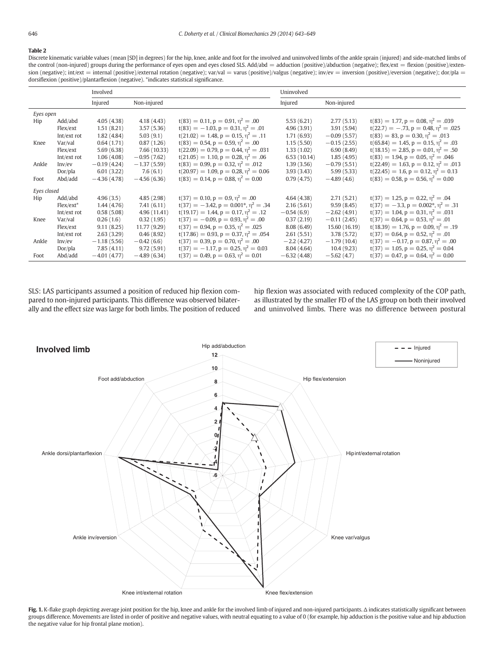# <span id="page-3-0"></span>Table 2

Discrete kinematic variable values (mean [SD] in degrees) for the hip, knee, ankle and foot for the involved and uninvolved limbs of the ankle sprain (injured) and side-matched limbs of the control (non-injured) groups during the performance of eyes open and eyes closed SLS. Add/abd = adduction (positive)/abduction (negative); flex/ext = flexion (positive)/extension (negative); int/ext = internal (positive)/external rotation (negative); var/val = varus (positive)/valgus (negative); inv/ev = inversion (positive)/eversion (negative); dor/pla = dorsiflexion (positive)/plantarflexion (negative). \*indicates statistical significance.

|             |             | Involved      |               |                                                  | Uninvolved    |               |                                                         |
|-------------|-------------|---------------|---------------|--------------------------------------------------|---------------|---------------|---------------------------------------------------------|
|             |             | Injured       | Non-injured   |                                                  | Injured       | Non-injured   |                                                         |
| Eyes open   |             |               |               |                                                  |               |               |                                                         |
| Hip         | Add/abd     | 4.05(4.38)    | 4.18(4.43)    | $t(83) = 0.11$ , $p = 0.91$ , $\eta^2 = .00$     | 5.53(6.21)    | 2.77(5.13)    | $t(83) = 1.77$ , $p = 0.08$ , $\eta^2 = .039$           |
|             | Flex/ext    | 1.51(8.21)    | 3.57(5.36)    | $t(83) = -1.03$ , $p = 0.31$ , $\eta^2 = .01$    | 4.96(3.91)    | 3.91(5.94)    | $t(22.7) = -.73$ , $p = 0.48$ , $\eta^2 = .025$         |
|             | Int/ext rot | 1.82(4.84)    | 5.03(9.1)     | $t(21.02) = 1.48$ , $p = 0.15$ , $\eta^2 = .11$  | 1.71(6.93)    | $-0.09(5.57)$ | $t(83) = 83$ , $p = 0.30$ , $\eta^2 = .013$             |
| Knee        | Var/val     | 0.64(1.71)    | 0.87(1.26)    | $t(83) = 0.54$ , $p = 0.59$ , $\eta^2 = .00$     | 1.15(5.50)    | $-0.15(2.55)$ | $t(65.84) = 1.45, p = 0.15, \eta^2 = .03$               |
|             | Flex/ext    | 5.69(6.38)    | 7.66 (10.33)  | $t(22.09) = 0.79$ , $p = 0.44$ , $\eta^2 = .031$ | 1.33(1.02)    | 6.90(8.49)    | $t(18.15) = 2.85, p = 0.01, \eta^2 = .50$               |
|             | Int/ext rot | 1.06(4.08)    | $-0.95(7.62)$ | $t(21.05) = 1.10$ , $p = 0.28$ , $\eta^2 = .06$  | 6.53(10.14)   | 1.85(4.95)    | $t(83) = 1.94$ , $p = 0.05$ , $\eta^2 = .046$           |
| Ankle       | Inv/ev      | $-0.19(4.24)$ | $-1.37(5.59)$ | $t(83) = 0.99$ , $p = 0.32$ , $\eta^2 = .012$    | 1.39(3.56)    | $-0.79(5.51)$ | $t(22.49) = 1.63$ , $p = 0.12$ , $\eta^2 = .013$        |
|             | Dor/pla     | 6.01(3.22)    | 7.6(6.1)      | $t(20.97) = 1.09$ , $p = 0.28$ , $\eta^2 = 0.06$ | 3.93(3.43)    | 5.99(5.33)    | $t(22.45) = 1.6, p = 0.12, \eta^2 = 0.13$               |
| Foot        | Abd/add     | $-4.36(4.78)$ | $-4.56(6.36)$ | $t(83) = 0.14$ , $p = 0.88$ , $\eta^2 = 0.00$    | 0.79(4.75)    | $-4.89(4.6)$  | $t(83) = 0.58$ , $p = 0.56$ , $\eta^2 = 0.00$           |
| Eyes closed |             |               |               |                                                  |               |               |                                                         |
| Hip         | Add/abd     | 4.96(3.5)     | 4.85(2.98)    | $t(37) = 0.10$ , $p = 0.9$ , $\eta^2 = .00$      | 4.64(4.38)    | 2.71(5.21)    | $t(37) = 1.25$ , $p = 0.22$ , $\eta^2 = .04$            |
|             | Flex/ext*   | 1.44(4.76)    | 7.41(6.11)    | $t(37) = -3.42$ , $p = 0.001^*$ , $\eta^2 = .34$ | 2.16(5.61)    | 9.59(8.45)    | $t(37) = -3.3$ , $p = 0.002$ <sup>*</sup> , $n^2 = .31$ |
|             | Int/ext rot | 0.58(5.08)    | 4.96(11.41)   | $t(19.17) = 1.44$ , $p = 0.17$ , $\eta^2 = .12$  | $-0.54(6.9)$  | $-2.62(4.91)$ | $t(37) = 1.04$ , $p = 0.31$ , $\eta^2 = .031$           |
| Knee        | Var/val     | 0.26(1.6)     | 0.32(1.95)    | $t(37) = -0.09$ , $p = 0.93$ , $\eta^2 = .00$    | 0.37(2.19)    | $-0.11(2.45)$ | $t(37) = 0.64$ , $p = 0.53$ , $\eta^2 = .01$            |
|             | Flex/ext    | 9.11(8.25)    | 11.77 (9.29)  | $t(37) = 0.94$ , $p = 0.35$ , $\eta^2 = .025$    | 8.08(6.49)    | 15.60 (16.19) | $t(18.39) = 1.76$ , $p = 0.09$ , $\eta^2 = .19$         |
|             | Int/ext rot | 2.63(3.29)    | 0.46(8.92)    | $t(17.86) = 0.93$ , $p = 0.37$ , $\eta^2 = .054$ | 2.61(5.51)    | 3.78(5.72)    | $t(37) = 0.64$ , $p = 0.52$ , $\eta^2 = .01$            |
| Ankle       | Inv/ev      | $-1.18(5.56)$ | $-0.42(6.6)$  | $t(37) = 0.39$ , $p = 0.70$ , $\eta^2 = .00$     | $-2.2(4.27)$  | $-1.79(10.4)$ | $t(37) = -0.17$ , $p = 0.87$ , $\eta^2 = .00$           |
|             | $Dor$ /pla  | 7.85(4.11)    | 9.72(5.91)    | $t(37) = -1.17$ , $p = 0.25$ , $\eta^2 = 0.03$   | 8.04(4.64)    | 10.4(9.23)    | $t(37) = 1.05$ , $p = 0.25$ , $\eta^2 = 0.04$           |
| Foot        | Abd/add     | $-4.01(4.77)$ | $-4.89(6.34)$ | $t(37) = 0.49$ , $p = 0.63$ , $\eta^2 = 0.01$    | $-6.32(4.48)$ | $-5.62(4.7)$  | $t(37) = 0.47$ , $p = 0.64$ , $\eta^2 = 0.00$           |

SLS: LAS participants assumed a position of reduced hip flexion compared to non-injured participants. This difference was observed bilaterally and the effect size was large for both limbs. The position of reduced hip flexion was associated with reduced complexity of the COP path, as illustrated by the smaller FD of the LAS group on both their involved and uninvolved limbs. There was no difference between postural



Fig. 1. K-flake graph depicting average joint position for the hip, knee and ankle for the involved limb of injured and non-injured participants. Δ indicates statistically significant between groups difference. Movements are listed in order of positive and negative values, with neutral equating to a value of 0 (for example, hip adduction is the positive value and hip abduction the negative value for hip frontal plane motion).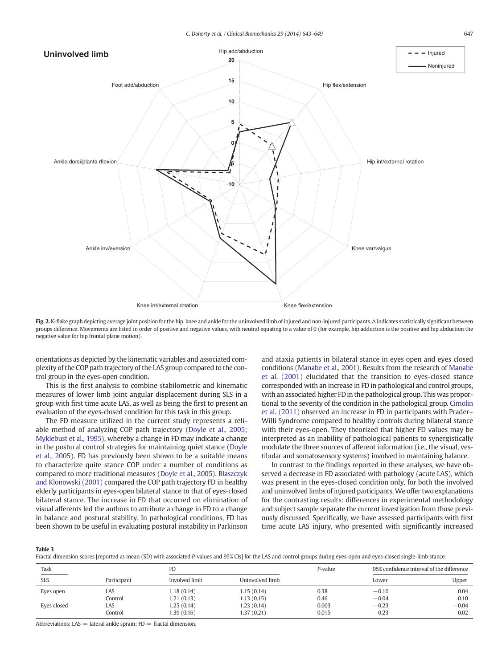<span id="page-4-0"></span>

Fig. 2. K-flake graph depicting average joint position for the hip, knee and ankle for the uninvolved limb of injured and non-injured participants. Δ indicates statistically significant between groups difference. Movements are listed in order of positive and negative values, with neutral equating to a value of 0 (for example, hip adduction is the positive and hip abduction the negative value for hip frontal plane motion).

orientations as depicted by the kinematic variables and associated complexity of the COP path trajectory of the LAS group compared to the control group in the eyes-open condition.

This is the first analysis to combine stabilometric and kinematic measures of lower limb joint angular displacement during SLS in a group with first time acute LAS, as well as being the first to present an evaluation of the eyes-closed condition for this task in this group.

The FD measure utilized in the current study represents a reliable method of analyzing COP path trajectory ([Doyle et al., 2005;](#page-6-0) [Myklebust et al., 1995](#page-6-0)), whereby a change in FD may indicate a change in the postural control strategies for maintaining quiet stance ([Doyle](#page-6-0) [et al., 2005\)](#page-6-0). FD has previously been shown to be a suitable means to characterize quite stance COP under a number of conditions as compared to more traditional measures [\(Doyle et al., 2005\)](#page-6-0). Bł[aszczyk](#page-6-0) [and Klonowski \(2001\)](#page-6-0) compared the COP path trajectory FD in healthy elderly participants in eyes-open bilateral stance to that of eyes-closed bilateral stance. The increase in FD that occurred on elimination of visual afferents led the authors to attribute a change in FD to a change in balance and postural stability. In pathological conditions, FD has been shown to be useful in evaluating postural instability in Parkinson and ataxia patients in bilateral stance in eyes open and eyes closed conditions [\(Manabe et al., 2001](#page-6-0)). Results from the research of [Manabe](#page-6-0) [et al. \(2001\)](#page-6-0) elucidated that the transition to eyes-closed stance corresponded with an increase in FD in pathological and control groups, with an associated higher FD in the pathological group. This was proportional to the severity of the condition in the pathological group. [Cimolin](#page-6-0) [et al. \(2011\)](#page-6-0) observed an increase in FD in participants with Prader– Willi Syndrome compared to healthy controls during bilateral stance with their eyes-open. They theorized that higher FD values may be interpreted as an inability of pathological patients to synergistically modulate the three sources of afferent information (i.e., the visual, vestibular and somatosensory systems) involved in maintaining balance.

In contrast to the findings reported in these analyses, we have observed a decrease in FD associated with pathology (acute LAS), which was present in the eyes-closed condition only, for both the involved and uninvolved limbs of injured participants. We offer two explanations for the contrasting results: differences in experimental methodology and subject sample separate the current investigation from those previously discussed. Specifically, we have assessed participants with first time acute LAS injury, who presented with significantly increased

Table 3

Fractal dimension scores [reported as mean (SD) with associated P-values and 95% CIs] for the LAS and control groups during eyes-open and eyes-closed single-limb stance.

| Task        |             | FD            |                 | P-value |         | 95% confidence interval of the difference |  |
|-------------|-------------|---------------|-----------------|---------|---------|-------------------------------------------|--|
| <b>SLS</b>  | Participant | Involved limb | Uninvolved limb |         | Lower   | Upper                                     |  |
| Eyes open   | LAS         | 1.18(0.14)    | 1.15(0.14)      | 0.38    | $-0.10$ | 0.04                                      |  |
|             | Control     | 1.21(0.13)    | 1.13(0.15)      | 0.46    | $-0.04$ | 0.10                                      |  |
| Eyes closed | LAS         | 1.25(0.14)    | 1.23(0.14)      | 0.003   | $-0.23$ | $-0.04$                                   |  |
|             | Control     | 1.39 (0.16)   | 1.37(0.21)      | 0.015   | $-0.23$ | $-0.02$                                   |  |

Abbreviations:  $LAS =$  lateral ankle sprain;  $FD =$  fractal dimension.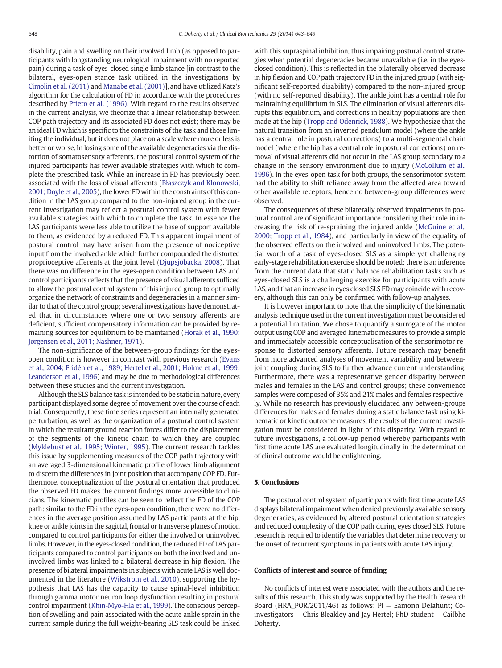disability, pain and swelling on their involved limb (as opposed to participants with longstanding neurological impairment with no reported pain) during a task of eyes-closed single limb stance [in contrast to the bilateral, eyes-open stance task utilized in the investigations by [Cimolin et al. \(2011\)](#page-6-0) and [Manabe et al. \(2001\)\]](#page-6-0), and have utilized Katz's algorithm for the calculation of FD in accordance with the procedures described by [Prieto et al. \(1996\).](#page-6-0) With regard to the results observed in the current analysis, we theorize that a linear relationship between COP path trajectory and its associated FD does not exist; there may be an ideal FD which is specific to the constraints of the task and those limiting the individual, but it does not place on a scale where more or less is better or worse. In losing some of the available degeneracies via the distortion of somatosensory afferents, the postural control system of the injured participants has fewer available strategies with which to complete the prescribed task. While an increase in FD has previously been associated with the loss of visual afferents (Bł[aszczyk and Klonowski,](#page-6-0) [2001; Doyle et al., 2005\)](#page-6-0), the lower FD within the constraints of this condition in the LAS group compared to the non-injured group in the current investigation may reflect a postural control system with fewer available strategies with which to complete the task. In essence the LAS participants were less able to utilize the base of support available to them, as evidenced by a reduced FD. This apparent impairment of postural control may have arisen from the presence of nociceptive input from the involved ankle which further compounded the distorted proprioceptive afferents at the joint level ([Djupsjöbacka, 2008\)](#page-6-0). That there was no difference in the eyes-open condition between LAS and control participants reflects that the presence of visual afferents sufficed to allow the postural control system of this injured group to optimally organize the network of constraints and degeneracies in a manner similar to that of the control group; several investigations have demonstrated that in circumstances where one or two sensory afferents are deficient, sufficient compensatory information can be provided by remaining sources for equilibrium to be maintained ([Horak et al., 1990;](#page-6-0) [Jørgensen et al., 2011; Nashner, 1971](#page-6-0)).

The non-significance of the between-group findings for the eyesopen condition is however in contrast with previous research ([Evans](#page-6-0) [et al., 2004; Fridén et al., 1989; Hertel et al., 2001; Holme et al., 1999;](#page-6-0) [Leanderson et al., 1996](#page-6-0)) and may be due to methodological differences between these studies and the current investigation.

Although the SLS balance task is intended to be static in nature, every participant displayed some degree of movement over the course of each trial. Consequently, these time series represent an internally generated perturbation, as well as the organization of a postural control system in which the resultant ground reaction forces differ to the displacement of the segments of the kinetic chain to which they are coupled [\(Myklebust et al., 1995; Winter, 1995\)](#page-6-0). The current research tackles this issue by supplementing measures of the COP path trajectory with an averaged 3-dimensional kinematic profile of lower limb alignment to discern the differences in joint position that accompany COP FD. Furthermore, conceptualization of the postural orientation that produced the observed FD makes the current findings more accessible to clinicians. The kinematic profiles can be seen to reflect the FD of the COP path: similar to the FD in the eyes-open condition, there were no differences in the average position assumed by LAS participants at the hip, knee or ankle joints in the sagittal, frontal or transverse planes of motion compared to control participants for either the involved or uninvolved limbs. However, in the eyes-closed condition, the reduced FD of LAS participants compared to control participants on both the involved and uninvolved limbs was linked to a bilateral decrease in hip flexion. The presence of bilateral impairments in subjects with acute LAS is well documented in the literature [\(Wikstrom et al., 2010](#page-6-0)), supporting the hypothesis that LAS has the capacity to cause spinal-level inhibition through gamma motor neuron loop dysfunction resulting in postural control impairment [\(Khin-Myo-Hla et al., 1999](#page-6-0)). The conscious perception of swelling and pain associated with the acute ankle sprain in the current sample during the full weight-bearing SLS task could be linked with this supraspinal inhibition, thus impairing postural control strategies when potential degeneracies became unavailable (i.e. in the eyesclosed condition). This is reflected in the bilaterally observed decrease in hip flexion and COP path trajectory FD in the injured group (with significant self-reported disability) compared to the non-injured group (with no self-reported disability). The ankle joint has a central role for maintaining equilibrium in SLS. The elimination of visual afferents disrupts this equilibrium, and corrections in healthy populations are then made at the hip [\(Tropp and Odenrick, 1988](#page-6-0)). We hypothesize that the natural transition from an inverted pendulum model (where the ankle has a central role in postural corrections) to a multi-segmental chain model (where the hip has a central role in postural corrections) on removal of visual afferents did not occur in the LAS group secondary to a change in the sensory environment due to injury [\(McCollum et al.,](#page-6-0) [1996\)](#page-6-0). In the eyes-open task for both groups, the sensorimotor system had the ability to shift reliance away from the affected area toward other available receptors, hence no between-group differences were observed.

The consequences of these bilaterally observed impairments in postural control are of significant importance considering their role in increasing the risk of re-spraining the injured ankle [\(McGuine et al.,](#page-6-0) [2000; Tropp et al., 1984](#page-6-0)), and particularly in view of the equality of the observed effects on the involved and uninvolved limbs. The potential worth of a task of eyes-closed SLS as a simple yet challenging early-stage rehabilitation exercise should be noted; there is an inference from the current data that static balance rehabilitation tasks such as eyes-closed SLS is a challenging exercise for participants with acute LAS, and that an increase in eyes closed SLS FD may coincide with recovery, although this can only be confirmed with follow-up analyses.

It is however important to note that the simplicity of the kinematic analysis technique used in the current investigation must be considered a potential limitation. We chose to quantify a surrogate of the motor output using COP and averaged kinematic measures to provide a simple and immediately accessible conceptualisation of the sensorimotor response to distorted sensory afferents. Future research may benefit from more advanced analyses of movement variability and betweenjoint coupling during SLS to further advance current understanding. Furthermore, there was a representative gender disparity between males and females in the LAS and control groups; these convenience samples were composed of 35% and 21% males and females respectively. While no research has previously elucidated any between-groups differences for males and females during a static balance task using kinematic or kinetic outcome measures, the results of the current investigation must be considered in light of this disparity. With regard to future investigations, a follow-up period whereby participants with first time acute LAS are evaluated longitudinally in the determination of clinical outcome would be enlightening.

# 5. Conclusions

The postural control system of participants with first time acute LAS displays bilateral impairment when denied previously available sensory degeneracies, as evidenced by altered postural orientation strategies and reduced complexity of the COP path during eyes closed SLS. Future research is required to identify the variables that determine recovery or the onset of recurrent symptoms in patients with acute LAS injury.

## Conflicts of interest and source of funding

No conflicts of interest were associated with the authors and the results of this research. This study was supported by the Health Research Board (HRA\_POR/2011/46) as follows: PI — Eamonn Delahunt; Coinvestigators — Chris Bleakley and Jay Hertel; PhD student — Cailbhe Doherty.